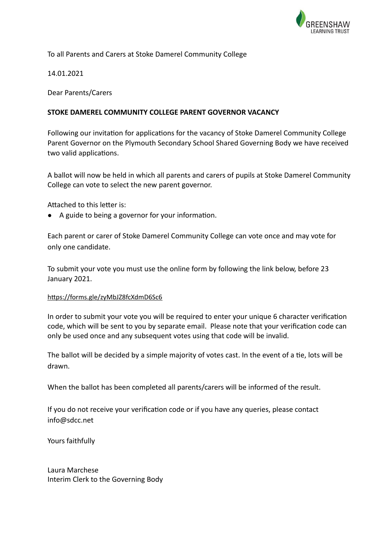

## To all Parents and Carers at Stoke Damerel Community College

14.01.2021

Dear Parents/Carers

### **STOKE DAMEREL COMMUNITY COLLEGE PARENT GOVERNOR VACANCY**

Following our invitation for applications for the vacancy of Stoke Damerel Community College Parent Governor on the Plymouth Secondary School Shared Governing Body we have received two valid applications.

A ballot will now be held in which all parents and carers of pupils at Stoke Damerel Community College can vote to select the new parent governor.

Attached to this letter is:

● A guide to being a governor for your information.

Each parent or carer of Stoke Damerel Community College can vote once and may vote for only one candidate.

To submit your vote you must use the online form by following the link below, before 23 January 2021.

#### https://forms.gle/zyMbJZ8fcXdmD6Sc6

In order to submit your vote you will be required to enter your unique 6 character verification code, which will be sent to you by separate email. Please note that your verification code can only be used once and any subsequent votes using that code will be invalid.

The ballot will be decided by a simple majority of votes cast. In the event of a tie, lots will be drawn.

When the ballot has been completed all parents/carers will be informed of the result.

If you do not receive your verification code or if you have any queries, please contact info@sdcc.net

Yours faithfully

Laura Marchese Interim Clerk to the Governing Body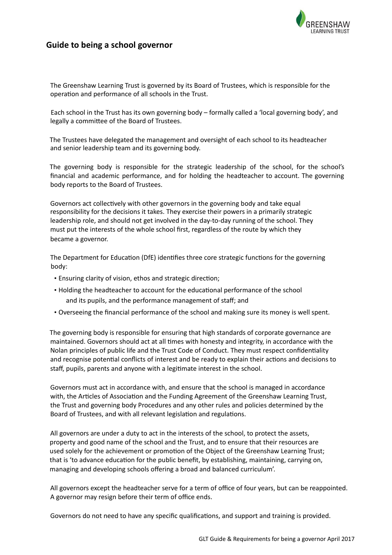

## **Guide to being a school governor**

The Greenshaw Learning Trust is governed by its Board of Trustees, which is responsible for the operation and performance of all schools in the Trust.

Each school in the Trust has its own governing body – formally called a 'local governing body', and legally a committee of the Board of Trustees.

The Trustees have delegated the management and oversight of each school to its headteacher and senior leadership team and its governing body.

The governing body is responsible for the strategic leadership of the school, for the school's financial and academic performance, and for holding the headteacher to account. The governing body reports to the Board of Trustees.

Governors act collectively with other governors in the governing body and take equal responsibility for the decisions it takes. They exercise their powers in a primarily strategic leadership role, and should not get involved in the day-to-day running of the school. They must put the interests of the whole school first, regardless of the route by which they became a governor.

The Department for Education (DfE) identifies three core strategic functions for the governing body:

- Ensuring clarity of vision, ethos and strategic direction;
- Holding the headteacher to account for the educational performance of the school and its pupils, and the performance management of staff; and
- Overseeing the financial performance of the school and making sure its money is well spent.

The governing body is responsible for ensuring that high standards of corporate governance are maintained. Governors should act at all times with honesty and integrity, in accordance with the Nolan principles of public life and the Trust Code of Conduct. They must respect confidentiality and recognise potential conflicts of interest and be ready to explain their actions and decisions to staff, pupils, parents and anyone with a legitimate interest in the school.

Governors must act in accordance with, and ensure that the school is managed in accordance with, the Articles of Association and the Funding Agreement of the Greenshaw Learning Trust, the Trust and governing body Procedures and any other rules and policies determined by the Board of Trustees, and with all relevant legislation and regulations.

All governors are under a duty to act in the interests of the school, to protect the assets, property and good name of the school and the Trust, and to ensure that their resources are used solely for the achievement or promotion of the Object of the Greenshaw Learning Trust; that is 'to advance education for the public benefit, by establishing, maintaining, carrying on, managing and developing schools offering a broad and balanced curriculum'.

All governors except the headteacher serve for a term of office of four years, but can be reappointed. A governor may resign before their term of office ends.

Governors do not need to have any specific qualifications, and support and training is provided.